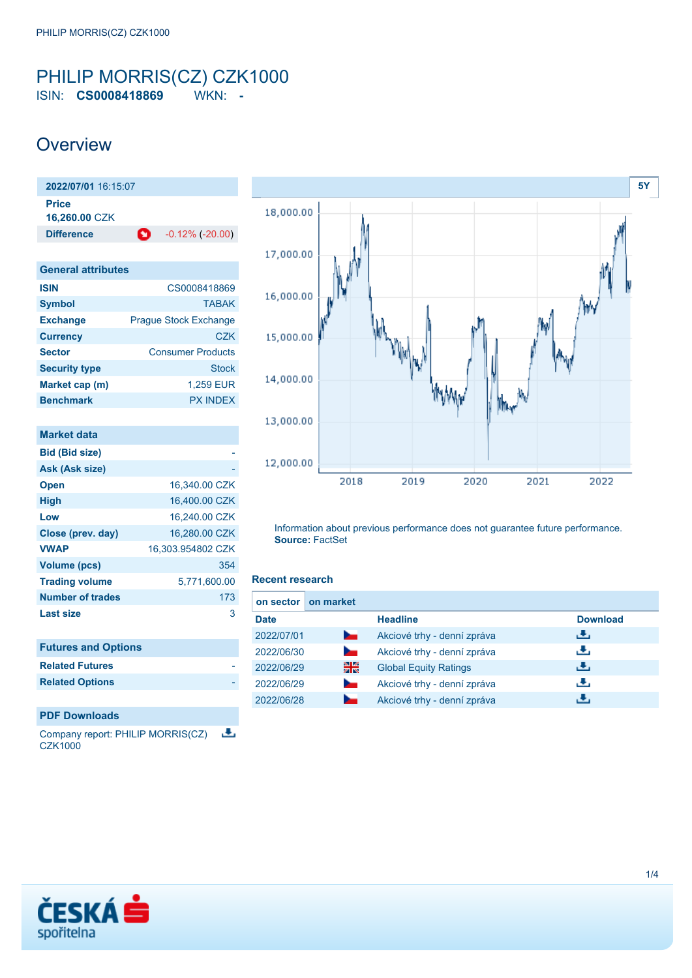### <span id="page-0-0"></span>PHILIP MORRIS(CZ) CZK1000 ISIN: **CS0008418869** WKN: **-**

### **Overview**

**2022/07/01** 16:15:07 **Price 16,260.00** CZK **Difference 1** -0.12% (-20.00) **General attributes**

| <b>ISIN</b>          | CS0008418869                 |
|----------------------|------------------------------|
| <b>Symbol</b>        | <b>TABAK</b>                 |
| <b>Exchange</b>      | <b>Prague Stock Exchange</b> |
| <b>Currency</b>      | C.7K                         |
| <b>Sector</b>        | <b>Consumer Products</b>     |
| <b>Security type</b> | <b>Stock</b>                 |
| Market cap (m)       | 1.259 EUR                    |
| <b>Benchmark</b>     | <b>PX INDEX</b>              |

| <b>Market data</b>         |                   |
|----------------------------|-------------------|
| <b>Bid (Bid size)</b>      |                   |
| Ask (Ask size)             |                   |
| <b>Open</b>                | 16,340.00 CZK     |
| High                       | 16,400.00 CZK     |
| Low                        | 16,240.00 CZK     |
| Close (prev. day)          | 16,280.00 CZK     |
| <b>VWAP</b>                | 16,303.954802 CZK |
| <b>Volume (pcs)</b>        | 354               |
| <b>Trading volume</b>      | 5,771,600.00      |
| <b>Number of trades</b>    | 173               |
| <b>Last size</b>           | 3                 |
|                            |                   |
| <b>Futures and Ontions</b> |                   |

| <b>I MINICA MIN ADMINIST</b> |  |  |
|------------------------------|--|--|
| <b>Related Futures</b>       |  |  |

### **PDF Downloads**

也 Company report: PHILIP MORRIS(CZ) **CZK1000** 



Information about previous performance does not guarantee future performance. **Source:** FactSet

#### **Recent research**

| on sector   | on market      |                              |                 |
|-------------|----------------|------------------------------|-----------------|
| <b>Date</b> |                | <b>Headline</b>              | <b>Download</b> |
| 2022/07/01  | <b>Service</b> | Akciové trhy - denní zpráva  | رنان            |
| 2022/06/30  | $\sim$         | Akciové trhy - denní zpráva  | رنان            |
| 2022/06/29  | 쯺              | <b>Global Equity Ratings</b> | رالى            |
| 2022/06/29  | $\sim$         | Akciové trhy - denní zpráva  | æ,              |
| 2022/06/28  |                | Akciové trhy - denní zpráva  | υЧ.             |

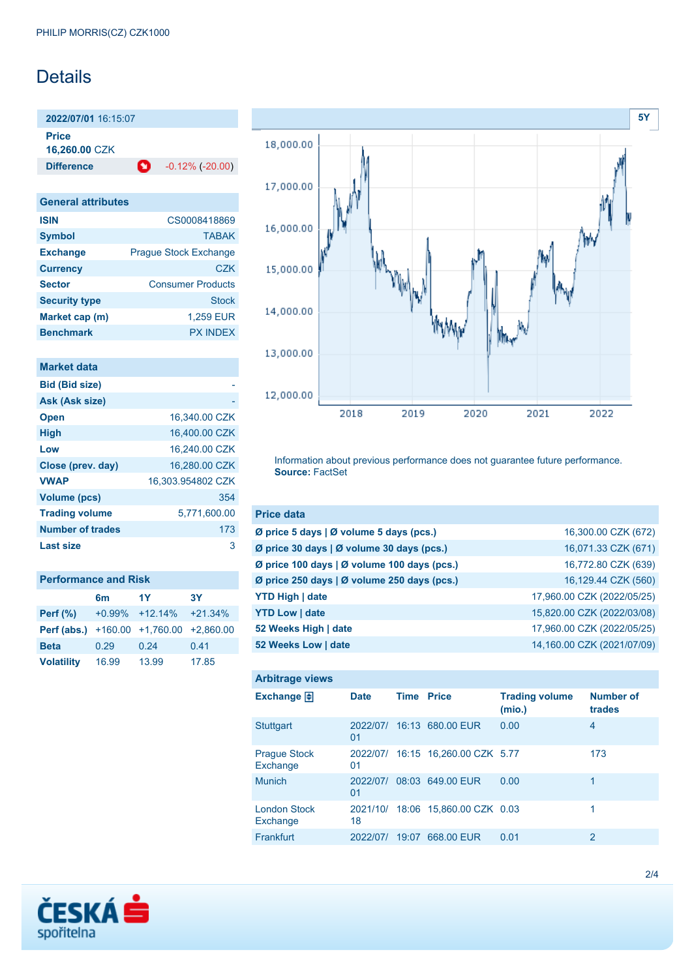# **Details**

**2022/07/01** 16:15:07

**Price**

**16,260.00** CZK

**Difference 1** -0.12% (-20.00)

| <b>General attributes</b> |  |
|---------------------------|--|
|---------------------------|--|

| <b>ISIN</b>          | CS0008418869                 |
|----------------------|------------------------------|
| <b>Symbol</b>        | <b>TARAK</b>                 |
| <b>Exchange</b>      | <b>Prague Stock Exchange</b> |
| <b>Currency</b>      | <b>CZK</b>                   |
| <b>Sector</b>        | <b>Consumer Products</b>     |
| <b>Security type</b> | <b>Stock</b>                 |
| Market cap (m)       | 1,259 EUR                    |
| <b>Benchmark</b>     | <b>PX INDFX</b>              |

### **Market data**

| <b>Bid (Bid size)</b>   |                   |
|-------------------------|-------------------|
| Ask (Ask size)          |                   |
| <b>Open</b>             | 16.340.00 CZK     |
| <b>High</b>             | 16,400,00 CZK     |
| Low                     | 16,240.00 CZK     |
| Close (prev. day)       | 16.280.00 CZK     |
| <b>VWAP</b>             | 16,303.954802 CZK |
| <b>Volume (pcs)</b>     | 354               |
| <b>Trading volume</b>   | 5,771,600.00      |
| <b>Number of trades</b> | 173               |
| Last size               | з                 |

| <b>Performance and Risk</b>           |       |                    |             |  |  |  |  |
|---------------------------------------|-------|--------------------|-------------|--|--|--|--|
| 1Y<br><b>3Y</b><br>6 <sub>m</sub>     |       |                    |             |  |  |  |  |
| Perf $(\%)$                           |       | $+0.99\% +12.14\%$ | $+21.34%$   |  |  |  |  |
| <b>Perf (abs.)</b> $+160.00 +1760.00$ |       |                    | $+2.860.00$ |  |  |  |  |
| <b>Beta</b>                           | 0.29  | 0.24               | 0.41        |  |  |  |  |
| <b>Volatility</b>                     | 16.99 | 13.99              | 17.85       |  |  |  |  |



Information about previous performance does not guarantee future performance. **Source:** FactSet

| <b>Price data</b>                             |                            |
|-----------------------------------------------|----------------------------|
| Ø price 5 days $\vert$ Ø volume 5 days (pcs.) | 16,300.00 CZK (672)        |
| Ø price 30 days   Ø volume 30 days (pcs.)     | 16,071.33 CZK (671)        |
| Ø price 100 days   Ø volume 100 days (pcs.)   | 16,772.80 CZK (639)        |
| Ø price 250 days   Ø volume 250 days (pcs.)   | 16,129.44 CZK (560)        |
| <b>YTD High   date</b>                        | 17,960.00 CZK (2022/05/25) |
| <b>YTD Low   date</b>                         | 15,820.00 CZK (2022/03/08) |
| 52 Weeks High   date                          | 17,960.00 CZK (2022/05/25) |
| 52 Weeks Low   date                           | 14,160.00 CZK (2021/07/09) |

| <b>Arbitrage views</b>             |                |             |                                   |                                 |                            |
|------------------------------------|----------------|-------------|-----------------------------------|---------------------------------|----------------------------|
| Exchange $\vert \frac{1}{2} \vert$ | <b>Date</b>    | <b>Time</b> | <b>Price</b>                      | <b>Trading volume</b><br>(mio.) | <b>Number of</b><br>trades |
| <b>Stuttgart</b>                   | 2022/07/<br>01 |             | 16:13 680.00 EUR                  | 0.00                            | 4                          |
| <b>Prague Stock</b><br>Exchange    | 01             |             | 2022/07/ 16:15 16,260.00 CZK 5.77 |                                 | 173                        |
| <b>Munich</b>                      | 2022/07/<br>01 |             | 08:03 649.00 EUR                  | 0.00                            | 1                          |
| <b>London Stock</b><br>Exchange    | 18             |             | 2021/10/ 18:06 15.860.00 CZK 0.03 |                                 | 1                          |
| Frankfurt                          | 2022/07/       | 19:07       | 668.00 EUR                        | 0.01                            | 2                          |

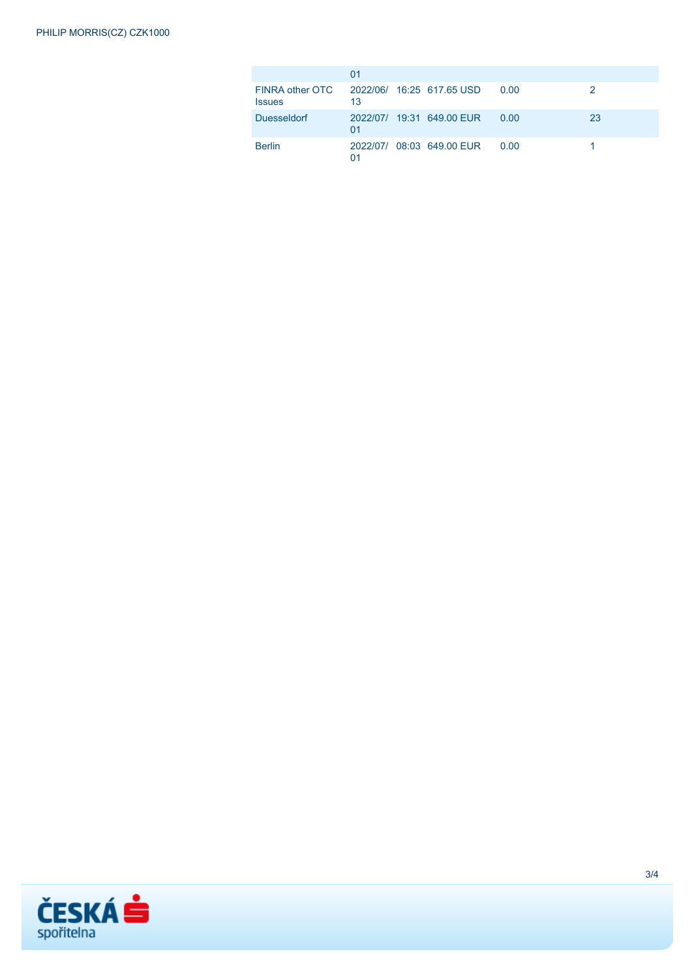|                                  | 01 |                           |      |    |
|----------------------------------|----|---------------------------|------|----|
| FINRA other OTC<br><b>Issues</b> | 13 | 2022/06/ 16:25 617.65 USD | 0.00 |    |
| <b>Duesseldorf</b>               | 01 | 2022/07/ 19:31 649.00 EUR | 0.00 | 23 |
| <b>Berlin</b>                    | 01 | 2022/07/ 08:03 649.00 EUR | 0.00 |    |